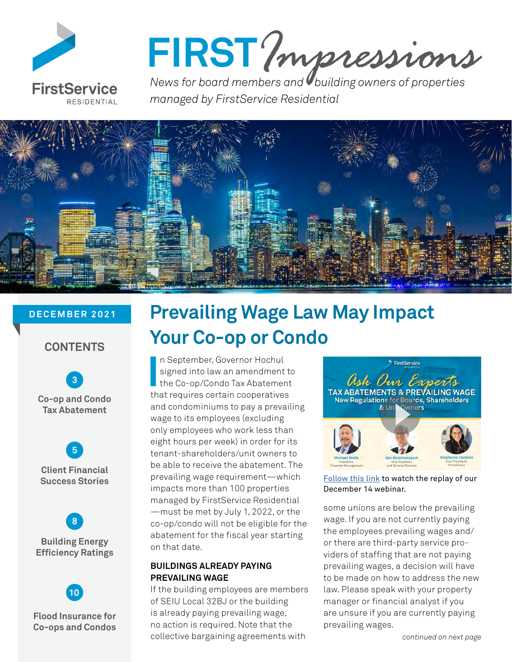

# FIRST? *mpressions*

*managed by FirstService Residential*



#### **DECEMBER 2021**

#### **CONTENTS**

 **[3](#page-2-0) Co-op and Condo Tax Abatement**

 **[5](#page-4-0) Client Financial Success Stories** 

 **[8](#page-7-0) Building Energy Efficiency Ratings**



**Flood Insurance for Co-ops and Condos**

### **Prevailing Wage Law May Impact Your Co-op or Condo**

In September, Governor Hochul<br>
signed into law an amendment t<br>
the Co-op/Condo Tax Abatement<br>
that requires certain cooperatives n September, Governor Hochul signed into law an amendment to the Co-op/Condo Tax Abatement and condominiums to pay a prevailing wage to its employees (excluding only employees who work less than eight hours per week) in order for its tenant-shareholders/unit owners to be able to receive the abatement. The prevailing wage requirement—which impacts more than 100 properties managed by FirstService Residential —must be met by July 1, 2022, or the co-op/condo will not be eligible for the abatement for the fiscal year starting on that date.

#### **BUILDINGS ALREADY PAYING PREVAILING WAGE**

If the building employees are members of SEIU Local 32BJ or the building is already paying prevailing wage, no action is required. Note that the collective bargaining agreements with



[Follow this link](https://www.fsresidential.com/new-york/tax-abatements-prevailing-wage-new-regulations-f/tax-abatements-prevailing-wage-webinar/) to watch the replay of our December 14 webinar.

some unions are below the prevailing wage. If you are not currently paying the employees prevailing wages and/ or there are third-party service providers of staffing that are not paying prevailing wages, a decision will have to be made on how to address the new law. Please speak with your property manager or financial analyst if you are unsure if you are currently paying prevailing wages.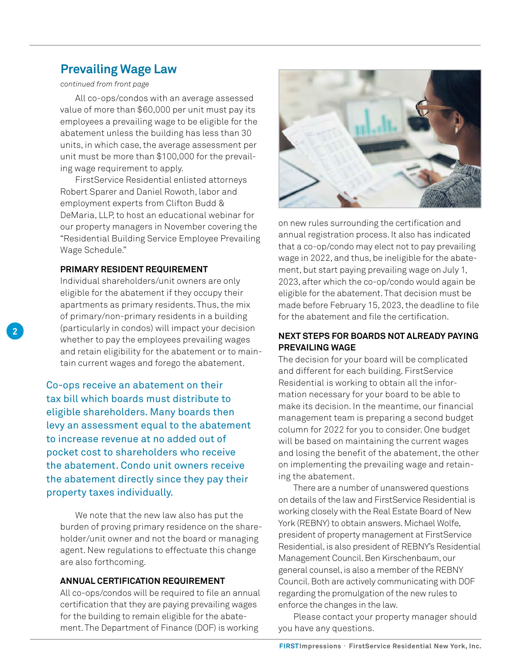#### **Prevailing Wage Law**

#### *continued from front page*

All co-ops/condos with an average assessed value of more than \$60,000 per unit must pay its employees a prevailing wage to be eligible for the abatement unless the building has less than 30 units, in which case, the average assessment per unit must be more than \$100,000 for the prevailing wage requirement to apply.

FirstService Residential enlisted attorneys Robert Sparer and Daniel Rowoth, labor and employment experts from Clifton Budd & DeMaria, LLP, to host an educational webinar for our property managers in November covering the "Residential Building Service Employee Prevailing Wage Schedule."

#### **PRIMARY RESIDENT REQUIREMENT**

Individual shareholders/unit owners are only eligible for the abatement if they occupy their apartments as primary residents. Thus, the mix of primary/non-primary residents in a building (particularly in condos) will impact your decision whether to pay the employees prevailing wages and retain eligibility for the abatement or to maintain current wages and forego the abatement.

Co-ops receive an abatement on their tax bill which boards must distribute to eligible shareholders. Many boards then levy an assessment equal to the abatement to increase revenue at no added out of pocket cost to shareholders who receive the abatement. Condo unit owners receive the abatement directly since they pay their property taxes individually.

We note that the new law also has put the burden of proving primary residence on the shareholder/unit owner and not the board or managing agent. New regulations to effectuate this change are also forthcoming.

#### **ANNUAL CERTIFICATION REQUIREMENT**

All co-ops/condos will be required to file an annual certification that they are paying prevailing wages for the building to remain eligible for the abatement. The Department of Finance (DOF) is working



on new rules surrounding the certification and annual registration process. It also has indicated that a co-op/condo may elect not to pay prevailing wage in 2022, and thus, be ineligible for the abatement, but start paying prevailing wage on July 1, 2023, after which the co-op/condo would again be eligible for the abatement. That decision must be made before February 15, 2023, the deadline to file for the abatement and file the certification.

#### **NEXT STEPS FOR BOARDS NOT ALREADY PAYING PREVAILING WAGE**

The decision for your board will be complicated and different for each building. FirstService Residential is working to obtain all the information necessary for your board to be able to make its decision. In the meantime, our financial management team is preparing a second budget column for 2022 for you to consider. One budget will be based on maintaining the current wages and losing the benefit of the abatement, the other on implementing the prevailing wage and retaining the abatement.

There are a number of unanswered questions on details of the law and FirstService Residential is working closely with the Real Estate Board of New York (REBNY) to obtain answers. Michael Wolfe, president of property management at FirstService Residential, is also president of REBNY's Residential Management Council. Ben Kirschenbaum, our general counsel, is also a member of the REBNY Council. Both are actively communicating with DOF regarding the promulgation of the new rules to enforce the changes in the law.

Please contact your property manager should you have any questions.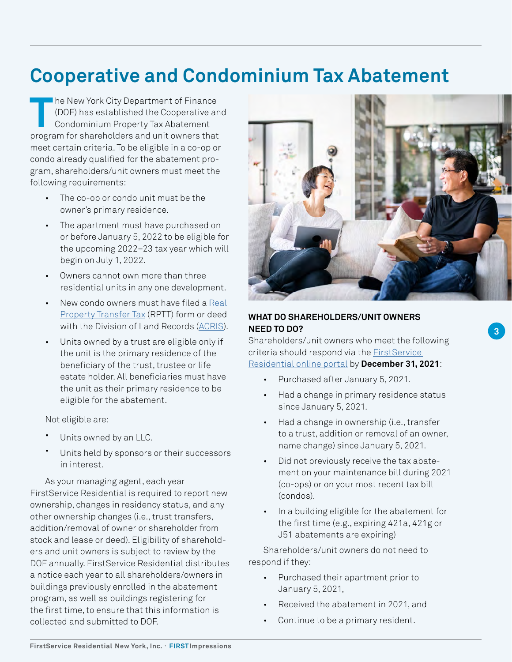### <span id="page-2-0"></span>**Cooperative and Condominium Tax Abatement**

**T** he New York City Department of Finance (DOF) has established the Cooperative and Condominium Property Tax Abatement program for shareholders and unit owners that meet certain criteria. To be eligible in a co-op or condo already qualified for the abatement program, shareholders/unit owners must meet the following requirements:

- The co-op or condo unit must be the owner's primary residence.
- The apartment must have purchased on or before January 5, 2022 to be eligible for the upcoming 2022–23 tax year which will begin on July 1, 2022.
- Owners cannot own more than three residential units in any one development.
- New condo owners must have filed a Real [Property Transfer Tax](https://www1.nyc.gov/site/finance/taxes/property-real-property-transfer-tax-rptt.page) (RPTT) form or deed with the Division of Land Records ([ACRIS](https://www1.nyc.gov/site/finance/taxes/acris.page)).
- Units owned by a trust are eligible only if the unit is the primary residence of the beneficiary of the trust, trustee or life estate holder. All beneficiaries must have the unit as their primary residence to be eligible for the abatement.

Not eligible are:

- Units owned by an LLC.
- Units held by sponsors or their successors in interest.

As your managing agent, each year FirstService Residential is required to report new ownership, changes in residency status, and any other ownership changes (i.e., trust transfers, addition/removal of owner or shareholder from stock and lease or deed). Eligibility of shareholders and unit owners is subject to review by the DOF annually. FirstService Residential distributes a notice each year to all shareholders/owners in buildings previously enrolled in the abatement program, as well as buildings registering for the first time, to ensure that this information is collected and submitted to DOF.



**3**

#### **WHAT DO SHAREHOLDERS/UNIT OWNERS NEED TO DO?**

Shareholders/unit owners who meet the following criteria should respond via the [FirstService](https://app.smartsheet.com/b/form/f1b86af9b64946249e9acd6b65c90494)  [Residential online portal](https://app.smartsheet.com/b/form/f1b86af9b64946249e9acd6b65c90494) by **December 31, 2021**:

- Purchased after January 5, 2021.
- Had a change in primary residence status since January 5, 2021.
- Had a change in ownership (i.e., transfer to a trust, addition or removal of an owner, name change) since January 5, 2021.
- Did not previously receive the tax abatement on your maintenance bill during 2021 (co-ops) or on your most recent tax bill (condos).
- In a building eligible for the abatement for the first time (e.g., expiring 421a, 421g or J51 abatements are expiring)

Shareholders/unit owners do not need to respond if they:

- Purchased their apartment prior to January 5, 2021,
- Received the abatement in 2021, and
- Continue to be a primary resident.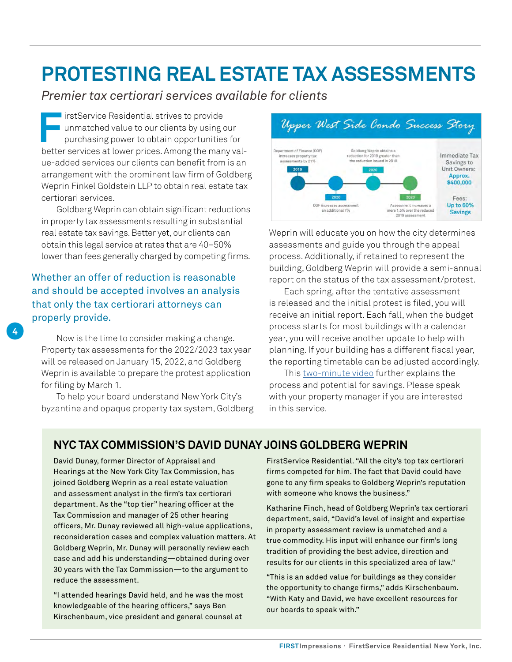## **PROTESTING REAL ESTATE TAX ASSESSMENTS**

*Premier tax certiorari services available for clients*

**FirstService Residential strives to provide** unmatched value to our clients by using our purchasing power to obtain opportunities for better services at lower prices. Among the many value-added services our clients can benefit from is an arrangement with the prominent law firm of Goldberg Weprin Finkel Goldstein LLP to obtain real estate tax certiorari services.

Goldberg Weprin can obtain significant reductions in property tax assessments resulting in substantial real estate tax savings. Better yet, our clients can obtain this legal service at rates that are 40–50% lower than fees generally charged by competing firms.

Whether an offer of reduction is reasonable and should be accepted involves an analysis that only the tax certiorari attorneys can properly provide.

**4**

Now is the time to consider making a change. Property tax assessments for the 2022/2023 tax year will be released on January 15, 2022, and Goldberg Weprin is available to prepare the protest application for filing by March 1.

To help your board understand New York City's byzantine and opaque property tax system, Goldberg



Weprin will educate you on how the city determines assessments and guide you through the appeal process. Additionally, if retained to represent the building, Goldberg Weprin will provide a semi-annual report on the status of the tax assessment/protest.

Each spring, after the tentative assessment is released and the initial protest is filed, you will receive an initial report. Each fall, when the budget process starts for most buildings with a calendar year, you will receive another update to help with planning. If your building has a different fiscal year, the reporting timetable can be adjusted accordingly.

This [two-minute video](https://www.youtube.com/watch?v=9kUNdk-EeFc) further explains the process and potential for savings. Please speak with your property manager if you are interested in this service.

#### **NYC TAX COMMISSION'S DAVID DUNAY JOINS GOLDBERG WEPRIN**

David Dunay, former Director of Appraisal and Hearings at the New York City Tax Commission, has joined Goldberg Weprin as a real estate valuation and assessment analyst in the firm's tax certiorari department. As the "top tier" hearing officer at the Tax Commission and manager of 25 other hearing officers, Mr. Dunay reviewed all high-value applications, reconsideration cases and complex valuation matters. At Goldberg Weprin, Mr. Dunay will personally review each case and add his understanding—obtained during over 30 years with the Tax Commission—to the argument to reduce the assessment.

"I attended hearings David held, and he was the most knowledgeable of the hearing officers," says Ben Kirschenbaum, vice president and general counsel at

FirstService Residential. "All the city's top tax certiorari firms competed for him. The fact that David could have gone to any firm speaks to Goldberg Weprin's reputation with someone who knows the business."

Katharine Finch, head of Goldberg Weprin's tax certiorari department, said, "David's level of insight and expertise in property assessment review is unmatched and a true commodity. His input will enhance our firm's long tradition of providing the best advice, direction and results for our clients in this specialized area of law."

"This is an added value for buildings as they consider the opportunity to change firms," adds Kirschenbaum. "With Katy and David, we have excellent resources for our boards to speak with."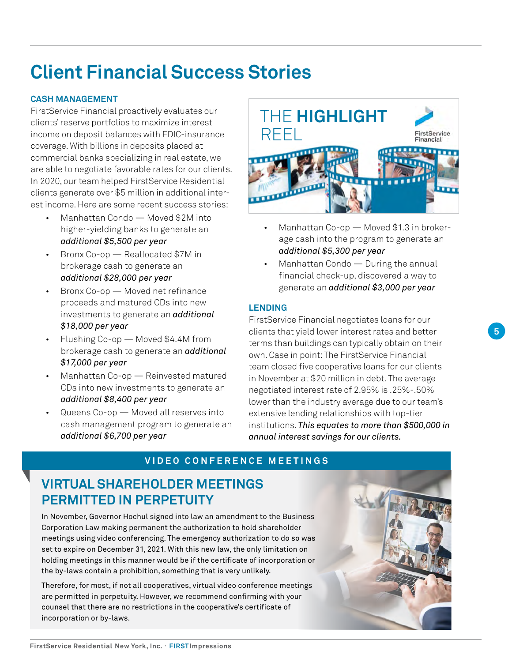## <span id="page-4-0"></span>**Client Financial Success Stories**

#### **CASH MANAGEMENT**

FirstService Financial proactively evaluates our clients' reserve portfolios to maximize interest income on deposit balances with FDIC-insurance coverage. With billions in deposits placed at commercial banks specializing in real estate, we are able to negotiate favorable rates for our clients. In 2020, our team helped FirstService Residential clients generate over \$5 million in additional interest income. Here are some recent success stories:

- Manhattan Condo Moved \$2M into higher-yielding banks to generate an *additional \$5,500 per year*
- Bronx Co-op Reallocated \$7M in brokerage cash to generate an *additional \$28,000 per year*
- Bronx Co-op Moved net refinance proceeds and matured CDs into new investments to generate an *additional \$18,000 per year*
- Flushing Co-op Moved \$4.4M from brokerage cash to generate an *additional \$17,000 per year*
- Manhattan Co-op Reinvested matured CDs into new investments to generate an *additional \$8,400 per year*
- Queens Co-op Moved all reserves into cash management program to generate an *additional \$6,700 per year*



- Manhattan Co-op Moved \$1.3 in brokerage cash into the program to generate an *additional \$5,300 per year*
- Manhattan Condo During the annual financial check-up, discovered a way to generate an *additional \$3,000 per year*

#### **LENDING**

FirstService Financial negotiates loans for our clients that yield lower interest rates and better terms than buildings can typically obtain on their own. Case in point: The FirstService Financial team closed five cooperative loans for our clients in November at \$20 million in debt. The average negotiated interest rate of 2.95% is .25%-.50% lower than the industry average due to our team's extensive lending relationships with top-tier institutions. *This equates to more than \$500,000 in annual interest savings for our clients.*

#### **VIDEO CONFERENCE MEETINGS**

### **VIRTUAL SHAREHOLDER MEETINGS PERMITTED IN PERPETUITY**

In November, Governor Hochul signed into law an amendment to the Business Corporation Law making permanent the authorization to hold shareholder meetings using video conferencing. The emergency authorization to do so was set to expire on December 31, 2021. With this new law, the only limitation on holding meetings in this manner would be if the certificate of incorporation or the by-laws contain a prohibition, something that is very unlikely.

Therefore, for most, if not all cooperatives, virtual video conference meetings are permitted in perpetuity. However, we recommend confirming with your counsel that there are no restrictions in the cooperative's certificate of incorporation or by-laws.

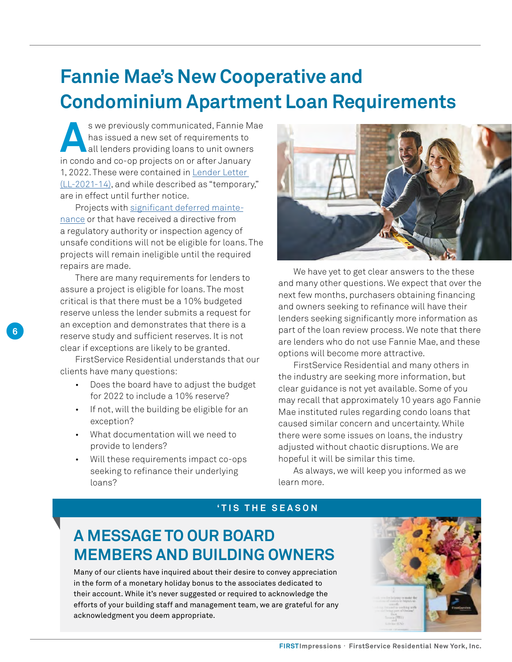### **Fannie Mae's New Cooperative and Condominium Apartment Loan Requirements**

**A**s we previously communicated, Fannie Mae has issued a new set of requirements to all lenders providing loans to unit owners in condo and co-op projects on or after January 1, 2022. These were contained in [Lender Letter](https://singlefamily.fanniemae.com/media/29411/display)  [\(LL-2021-14\),](https://singlefamily.fanniemae.com/media/29411/display) and while described as "temporary," are in effect until further notice.

Projects with [significant deferred mainte](https://singlefamily.fanniemae.com/media/29411/display)[nance](https://singlefamily.fanniemae.com/media/29411/display) or that have received a directive from a regulatory authority or inspection agency of unsafe conditions will not be eligible for loans. The projects will remain ineligible until the required repairs are made.

There are many requirements for lenders to assure a project is eligible for loans. The most critical is that there must be a 10% budgeted reserve unless the lender submits a request for an exception and demonstrates that there is a reserve study and sufficient reserves. It is not clear if exceptions are likely to be granted.

**6**

FirstService Residential understands that our clients have many questions:

- Does the board have to adjust the budget for 2022 to include a 10% reserve?
- If not, will the building be eligible for an exception?
- What documentation will we need to provide to lenders?
- Will these requirements impact co-ops seeking to refinance their underlying loans?



We have yet to get clear answers to the these and many other questions. We expect that over the next few months, purchasers obtaining financing and owners seeking to refinance will have their lenders seeking significantly more information as part of the loan review process. We note that there are lenders who do not use Fannie Mae, and these options will become more attractive.

FirstService Residential and many others in the industry are seeking more information, but clear guidance is not yet available. Some of you may recall that approximately 10 years ago Fannie Mae instituted rules regarding condo loans that caused similar concern and uncertainty. While there were some issues on loans, the industry adjusted without chaotic disruptions. We are hopeful it will be similar this time.

As always, we will keep you informed as we learn more.

#### **'TIS THE SEASON**

### **A MESSAGE TO OUR BOARD MEMBERS AND BUILDING OWNERS**

Many of our clients have inquired about their desire to convey appreciation in the form of a monetary holiday bonus to the associates dedicated to their account. While it's never suggested or required to acknowledge the efforts of your building staff and management team, we are grateful for any acknowledgment you deem appropriate.

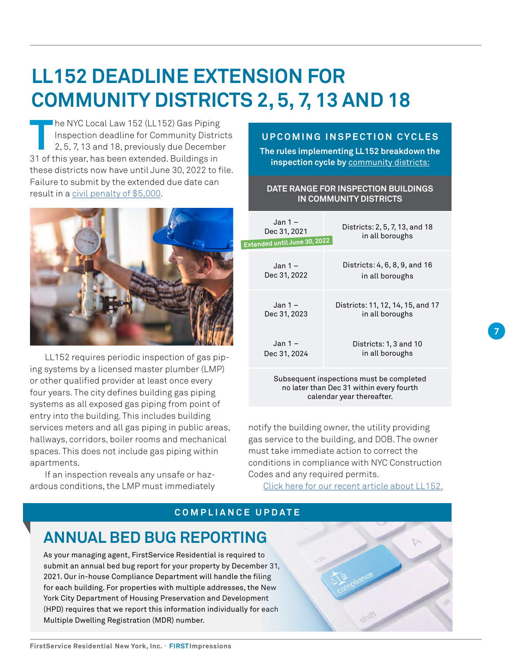# **LL152 DEADLINE EXTENSION FOR COMMUNITY DISTRICTS 2, 5, 7, 13 AND 18**

**T** he NYC Local Law 152 (LL152) Gas Piping Inspection deadline for Community Districts 2, 5, 7, 13 and 18, previously due December 31 of this year, has been extended. Buildings in these districts now have until June 30, 2022 to file. Failure to submit by the extended due date can result in a [civil penalty of \\$5,000](https://www1.nyc.gov/assets/buildings/pdf/ll152_4_sn.pdf).



LL152 requires periodic inspection of gas piping systems by a licensed master plumber (LMP) or other qualified provider at least once every four years. The city defines building gas piping systems as all exposed gas piping from point of entry into the building. This includes building services meters and all gas piping in public areas, hallways, corridors, boiler rooms and mechanical spaces. This does not include gas piping within apartments.

If an inspection reveals any unsafe or hazardous conditions, the LMP must immediately

#### **UPCOMING INSPECTION CYCLES**

**The rules implementing LL152 breakdown the inspection cycle by** [community districts](https://communityprofiles.planning.nyc.gov/):

#### **DATE RANGE FOR INSPECTION BUILDINGS IN COMMUNITY DISTRICTS**

| $Jan 1 -$<br>Dec 31, 2021<br>Extended until June 30, 2022                            | Districts: 2, 5, 7, 13, and 18<br>in all boroughs    |
|--------------------------------------------------------------------------------------|------------------------------------------------------|
| Jan 1 –<br>Dec 31, 2022                                                              | Districts: 4, 6, 8, 9, and 16<br>in all boroughs     |
| Jan 1 –<br>Dec 31, 2023                                                              | Districts: 11, 12, 14, 15, and 17<br>in all boroughs |
| Jan 1 –<br>Dec 31, 2024                                                              | Districts: 1, 3 and 10<br>in all boroughs            |
| Subsequent inspections must be completed<br>no later than Dec 31 within every fourth |                                                      |

**7**

notify the building owner, the utility providing gas service to the building, and DOB. The owner must take immediate action to correct the conditions in compliance with NYC Construction Codes and any required permits.

calendar year thereafter.

[Click here for our recent article about LL152.](https://www.fsresidential.com/new-york/news-events/articles-and-news/new-york-city-council-extends-local-law-152-inspec/)

#### **COMPLIANCE UPDATE**

### **ANNUAL BED BUG REPORTING**

As your managing agent, FirstService Residential is required to submit an annual bed bug report for your property by December 31, 2021. Our in-house Compliance Department will handle the filing for each building. For properties with multiple addresses, the New York City Department of Housing Preservation and Development (HPD) requires that we report this information individually for each Multiple Dwelling Registration (MDR) number.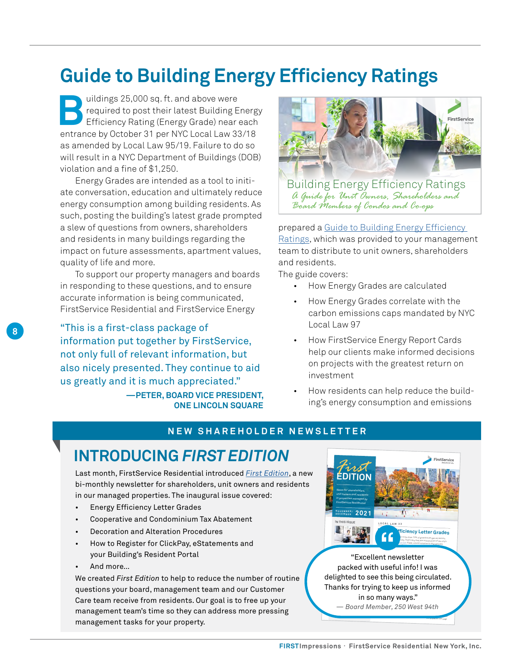### <span id="page-7-0"></span>**Guide to Building Energy Efficiency Ratings**

**Buildings 25,000 sq. ft. and above were**<br> **Building Exercise 25,000 sq. ft. and above were**<br>
Efficiency Rating (Energy Grade) near<br> **Building Exercise 21 por NYC Local Law 32** required to post their latest Building Energy Efficiency Rating (Energy Grade) near each entrance by October 31 per NYC Local Law 33/18 as amended by Local Law 95/19. Failure to do so will result in a NYC Department of Buildings (DOB) violation and a fine of \$1,250.

Energy Grades are intended as a tool to initiate conversation, education and ultimately reduce energy consumption among building residents. As such, posting the building's latest grade prompted a slew of questions from owners, shareholders and residents in many buildings regarding the impact on future assessments, apartment values, quality of life and more.

To support our property managers and boards in responding to these questions, and to ensure accurate information is being communicated, FirstService Residential and FirstService Energy

"This is a first-class package of information put together by FirstService, not only full of relevant information, but also nicely presented. They continue to aid us greatly and it is much appreciated."

> **—PETER, BOARD VICE PRESIDENT, ONE LINCOLN SQUARE**



prepared a Guide to Building Energy Efficiency [Ratings](https://lp.fsresidential.com/acton/attachment/34953/f-50940d2e-e5b0-4e19-b163-3dae6fdfb53c/1/-/-/-/-/Building%20Energy%20Efficiency%20Ratings%20Slick%2011_2020F%20%28web%29.pdf), which was provided to your management team to distribute to unit owners, shareholders and residents. The intended as a tool to increase a tool to initiate conversation, education, education, educa <u>mgs</u>, willch was provided to your manageme

The guide covers:  $\blacksquare$ 

• How Energy Grades are calculated

*Board Members of Condos and Co-ops*

- How Energy Grades correlate with the carbon emissions caps mandated by NYC Local Law 97
- How FirstService Energy Report Cards help our clients make informed decisions on projects with the greatest return on investment
- How residents can help reduce the building's energy consumption and emissions

#### **NEW SHAREHOLDER NEWSLETTER**

### **INTRODUCING** *FIRST EDITION*

Last month, FirstService Residential introduced *[First Edition](https://lp.fsresidential.com/acton/attachment/34953/f-7788bafc-01b2-47d7-87d6-b0cdd2fe8e9e/1/-/-/-/-/FSR%20First%20Edition%20NovDec21%20Final%20R1.pdf)*, a new bi-monthly newsletter for shareholders, unit owners and residents in our managed properties. The inaugural issue covered:

- **Energy Efficiency Letter Grades**
- Cooperative and Condominium Tax Abatement
- Decoration and Alteration Procedures
- How to Register for ClickPay, eStatements and your Building's Resident Portal
- And more…

**8**

We created *First Edition* to help to reduce the number of routine questions your board, management team and our Customer Care team receive from residents. Our goal is to free up your management team's time so they can address more pressing management tasks for your property.

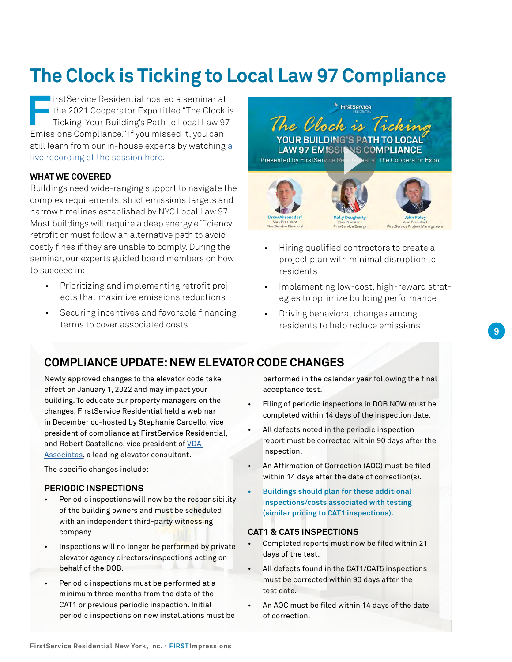## **The Clock is Ticking to Local Law 97 Compliance**

**FirstService Residential hosted a seminar at<br>the 2021 Cooperator Expo titled "The Clock incidence" of Ticking: Your Building's Path to Local Law 97<br>Emissions Compliance "If you missed it you can** the 2021 Cooperator Expo titled "The Clock is Ticking: Your Building's Path to Local Law 97 Emissions Compliance." If you missed it, you can still learn from our in-house experts by watching [a](https://us02web.zoom.us/rec/share/GC_dO6R8M-bGiPhVjHieUVoEtnereQ9JLhh3WsqDfqeG77rmtyo-nDs3R3jeQnKY.wcFPljnd3A-2C8et)  [live recording of the session here.](https://us02web.zoom.us/rec/share/GC_dO6R8M-bGiPhVjHieUVoEtnereQ9JLhh3WsqDfqeG77rmtyo-nDs3R3jeQnKY.wcFPljnd3A-2C8et)

#### **WHAT WE COVERED**

Buildings need wide-ranging support to navigate the complex requirements, strict emissions targets and narrow timelines established by NYC Local Law 97. Most buildings will require a deep energy efficiency retrofit or must follow an alternative path to avoid costly fines if they are unable to comply. During the seminar, our experts guided board members on how to succeed in:

- Prioritizing and implementing retrofit projects that maximize emissions reductions
- Securing incentives and favorable financing terms to cover associated costs

FirstService The Clock is Ticking **YOUR BUILDING'S PATH T LAW 97 EMISSIO NS COMPLIANCE** Presented by FirstService Re al at The Cooperator Expo

- Hiring qualified contractors to create a project plan with minimal disruption to residents
- Implementing low-cost, high-reward strategies to optimize building performance
- Driving behavioral changes among residents to help reduce emissions

#### **COMPLIANCE UPDATE: NEW ELEVATOR CODE CHANGES**

Newly approved changes to the elevator code take effect on January 1, 2022 and may impact your building. To educate our property managers on the changes, FirstService Residential held a webinar in December co-hosted by Stephanie Cardello, vice president of compliance at FirstService Residential, and Robert Castellano, vice president of [VDA](https://vdassoc.com/)  [Associates](https://vdassoc.com/), a leading elevator consultant.

The specific changes include:

#### **PERIODIC INSPECTIONS**

- *St* Periodic inspections will now be the responsibility of the building owners and must be scheduled with an independent third-party witnessing company.
- Inspections will no longer be performed by private elevator agency directors/inspections acting on behalf of the DOB.
- Periodic inspections must be performed at a minimum three months from the date of the CAT1 or previous periodic inspection. Initial periodic inspections on new installations must be

performed in the calendar year following the final acceptance test.

- Filing of periodic inspections in DOB NOW must be completed within 14 days of the inspection date.
- All defects noted in the periodic inspection report must be corrected within 90 days after the inspection.
- An Affirmation of Correction (AOC) must be filed within 14 days after the date of correction(s).
- **• Buildings should plan for these additional inspections/costs associated with testing (similar pricing to CAT1 inspections).**

#### **CAT1 & CAT5 INSPECTIONS**

- Completed reports must now be filed within 21 days of the test.
- All defects found in the CAT1/CAT5 inspections must be corrected within 90 days after the test date.
- An AOC must be filed within 14 days of the date of correction.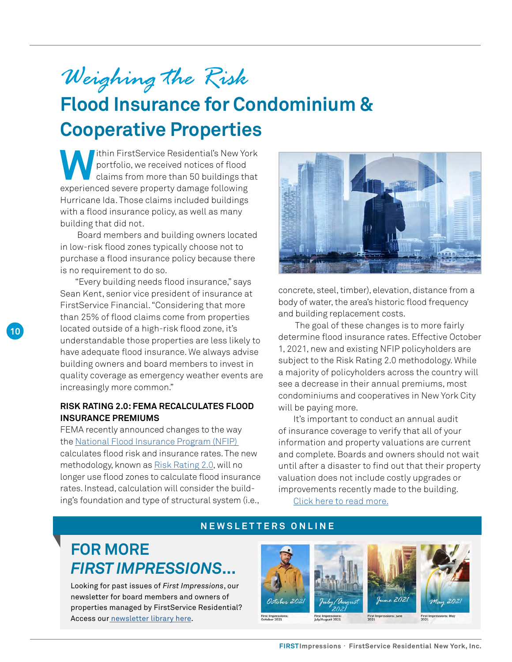# <span id="page-9-0"></span>*Weighing the Risk*

# **Flood Insurance for Condominium & Cooperative Properties**

**W**ithin FirstService Residential's New York portfolio, we received notices of flood claims from more than 50 buildings that experienced severe property damage following Hurricane Ida. Those claims included buildings with a flood insurance policy, as well as many building that did not.

 Board members and building owners located in low-risk flood zones typically choose not to purchase a flood insurance policy because there is no requirement to do so.

"Every building needs flood insurance," says Sean Kent, senior vice president of insurance at FirstService Financial. "Considering that more than 25% of flood claims come from properties located outside of a high-risk flood zone, it's understandable those properties are less likely to have adequate flood insurance. We always advise building owners and board members to invest in quality coverage as emergency weather events are increasingly more common."

#### **RISK RATING 2.0: FEMA RECALCULATES FLOOD INSURANCE PREMIUMS**

FEMA recently announced changes to the way the [National Flood Insurance Program \(NFIP\)](https://www.fema.gov/flood-insurance)  calculates flood risk and insurance rates. The new methodology, known as [Risk Rating 2.0,](https://www.fema.gov/flood-insurance/risk-rating) will no longer use flood zones to calculate flood insurance rates. Instead, calculation will consider the building's foundation and type of structural system (i.e.,



concrete, steel, timber), elevation, distance from a body of water, the area's historic flood frequency and building replacement costs.

 The goal of these changes is to more fairly determine flood insurance rates. Effective October 1, 2021, new and existing NFIP policyholders are subject to the Risk Rating 2.0 methodology. While a majority of policyholders across the country will see a decrease in their annual premiums, most condominiums and cooperatives in New York City will be paying more.

It's important to conduct an annual audit of insurance coverage to verify that all of your information and property valuations are current and complete. Boards and owners should not wait until after a disaster to find out that their property valuation does not include costly upgrades or improvements recently made to the building. [Click here to read more.](https://www.fsresidential.com/new-york/news-events/articles-and-news/flood-insurance-for-new-york-city-co-ops-and-condo/)

**NEWSLETTERS ONLINE**

### **FOR MORE**  *FIRST IMPRESSIONS***...**

Looking for past issues of *First Impressions*, our newsletter for board members and owners of properties managed by FirstService Residential? Access our [newsletter library here.](https://www.fsresidential.com/new-york/news-events/first-impressions/)

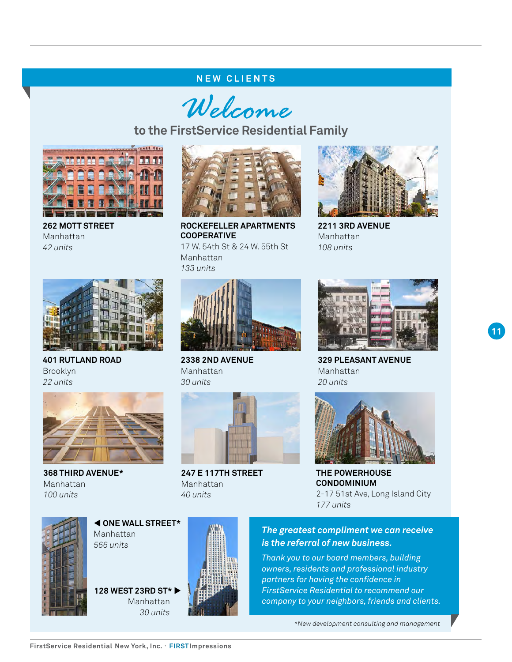#### **NEW CLIENTS**

Welcome

**to the FirstService Residential Family**



**262 MOTT STREET**  Manhattan *42 units*



**401 RUTLAND ROAD** Brooklyn *22 units*



**368 THIRD AVENUE\*** Manhattan *100 units*



**ROCKEFELLER APARTMENTS COOPERATIVE** 17 W. 54th St & 24 W. 55th St Manhattan *133 units*



**2211 3RD AVENUE** Manhattan *108 units*



**2338 2ND AVENUE**  Manhattan *30 units*



**247 E 117TH STREET** Manhattan *40 units*



**329 PLEASANT AVENUE** Manhattan *20 units*



**THE POWERHOUSE CONDOMINIUM** 2-17 51st Ave, Long Island City *177 units*



 **ONE WALL STREET\*** Manhattan *566 units*

**128 WEST 23RD ST\***  Manhattan *30 units*



#### *The greatest compliment we can receive is the referral of new business.*

*Thank you to our board members, building owners, residents and professional industry partners for having the confidence in FirstService Residential to recommend our company to your neighbors, friends and clients.*

*\*New development consulting and management*